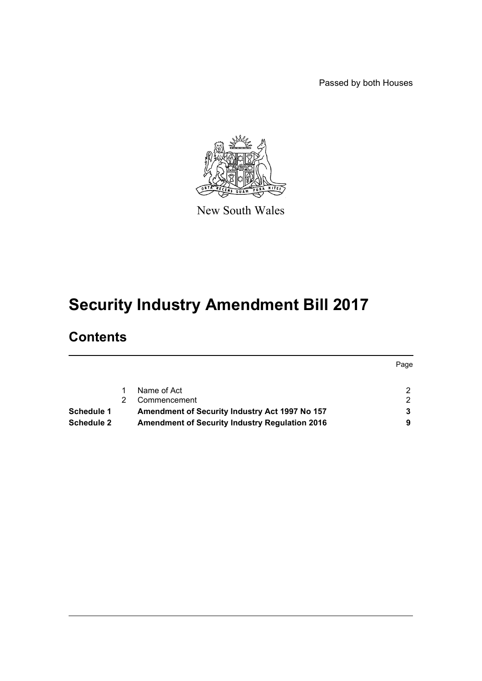Passed by both Houses



New South Wales

# **Security Industry Amendment Bill 2017**

# **Contents**

|                   |                                                       | Page |
|-------------------|-------------------------------------------------------|------|
|                   | Name of Act                                           |      |
|                   | Commencement                                          |      |
| Schedule 1        | Amendment of Security Industry Act 1997 No 157        |      |
| <b>Schedule 2</b> | <b>Amendment of Security Industry Regulation 2016</b> |      |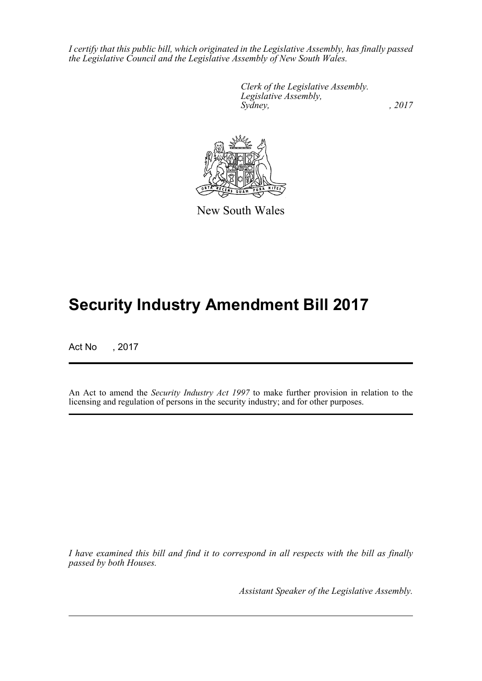*I certify that this public bill, which originated in the Legislative Assembly, has finally passed the Legislative Council and the Legislative Assembly of New South Wales.*

> *Clerk of the Legislative Assembly. Legislative Assembly, Sydney,* , 2017



New South Wales

# **Security Industry Amendment Bill 2017**

Act No , 2017

An Act to amend the *Security Industry Act 1997* to make further provision in relation to the licensing and regulation of persons in the security industry; and for other purposes.

*I have examined this bill and find it to correspond in all respects with the bill as finally passed by both Houses.*

*Assistant Speaker of the Legislative Assembly.*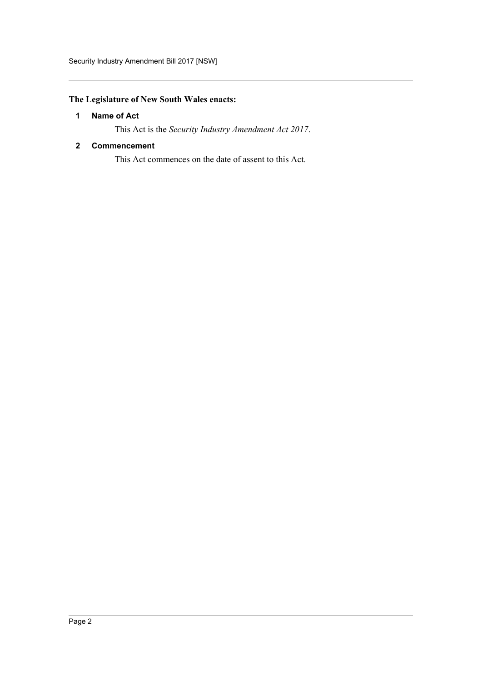# <span id="page-2-0"></span>**The Legislature of New South Wales enacts:**

# **1 Name of Act**

This Act is the *Security Industry Amendment Act 2017*.

# <span id="page-2-1"></span>**2 Commencement**

This Act commences on the date of assent to this Act.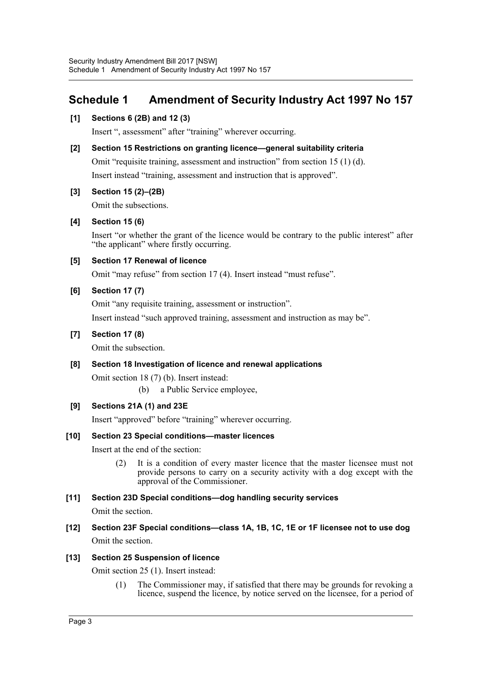# <span id="page-3-0"></span>**Schedule 1 Amendment of Security Industry Act 1997 No 157**

# **[1] Sections 6 (2B) and 12 (3)**

Insert ", assessment" after "training" wherever occurring.

# **[2] Section 15 Restrictions on granting licence—general suitability criteria**

Omit "requisite training, assessment and instruction" from section 15 (1) (d).

Insert instead "training, assessment and instruction that is approved".

# **[3] Section 15 (2)–(2B)**

Omit the subsections.

# **[4] Section 15 (6)**

Insert "or whether the grant of the licence would be contrary to the public interest" after "the applicant" where firstly occurring.

# **[5] Section 17 Renewal of licence**

Omit "may refuse" from section 17 (4). Insert instead "must refuse".

# **[6] Section 17 (7)**

Omit "any requisite training, assessment or instruction".

Insert instead "such approved training, assessment and instruction as may be".

# **[7] Section 17 (8)**

Omit the subsection.

# **[8] Section 18 Investigation of licence and renewal applications**

Omit section 18 (7) (b). Insert instead:

(b) a Public Service employee,

# **[9] Sections 21A (1) and 23E**

Insert "approved" before "training" wherever occurring.

#### **[10] Section 23 Special conditions—master licences**

Insert at the end of the section:

(2) It is a condition of every master licence that the master licensee must not provide persons to carry on a security activity with a dog except with the approval of the Commissioner.

# **[11] Section 23D Special conditions—dog handling security services**

Omit the section.

**[12] Section 23F Special conditions—class 1A, 1B, 1C, 1E or 1F licensee not to use dog** Omit the section.

# **[13] Section 25 Suspension of licence**

Omit section 25 (1). Insert instead:

(1) The Commissioner may, if satisfied that there may be grounds for revoking a licence, suspend the licence, by notice served on the licensee, for a period of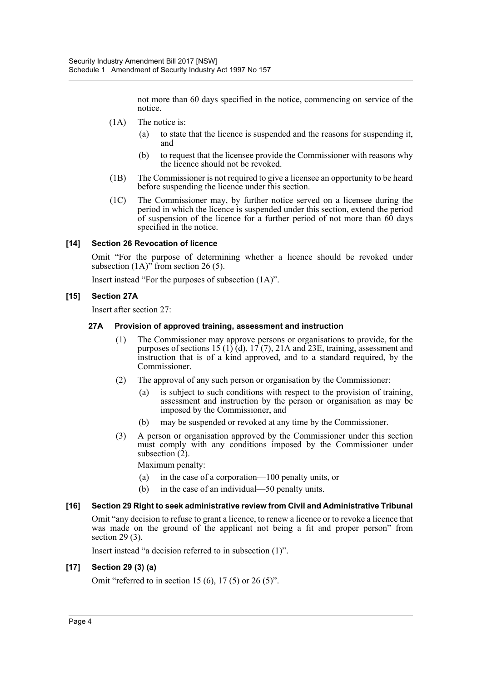not more than 60 days specified in the notice, commencing on service of the notice.

- (1A) The notice is:
	- (a) to state that the licence is suspended and the reasons for suspending it, and
	- (b) to request that the licensee provide the Commissioner with reasons why the licence should not be revoked.
- (1B) The Commissioner is not required to give a licensee an opportunity to be heard before suspending the licence under this section.
- (1C) The Commissioner may, by further notice served on a licensee during the period in which the licence is suspended under this section, extend the period of suspension of the licence for a further period of not more than  $60$  days specified in the notice.

# **[14] Section 26 Revocation of licence**

Omit "For the purpose of determining whether a licence should be revoked under subsection  $(1A)$ <sup>"</sup> from section 26 (5).

Insert instead "For the purposes of subsection (1A)".

# **[15] Section 27A**

Insert after section 27:

#### **27A Provision of approved training, assessment and instruction**

- (1) The Commissioner may approve persons or organisations to provide, for the purposes of sections  $15(1)\hat{d}$ ,  $17(7)$ ,  $21A$  and  $23E$ , training, assessment and instruction that is of a kind approved, and to a standard required, by the Commissioner.
- (2) The approval of any such person or organisation by the Commissioner:
	- (a) is subject to such conditions with respect to the provision of training, assessment and instruction by the person or organisation as may be imposed by the Commissioner, and
	- (b) may be suspended or revoked at any time by the Commissioner.
- (3) A person or organisation approved by the Commissioner under this section must comply with any conditions imposed by the Commissioner under subsection (2).

Maximum penalty:

- (a) in the case of a corporation—100 penalty units, or
- (b) in the case of an individual—50 penalty units.

#### **[16] Section 29 Right to seek administrative review from Civil and Administrative Tribunal**

Omit "any decision to refuse to grant a licence, to renew a licence or to revoke a licence that was made on the ground of the applicant not being a fit and proper person" from section 29 (3).

Insert instead "a decision referred to in subsection (1)".

#### **[17] Section 29 (3) (a)**

Omit "referred to in section 15 (6), 17 (5) or 26 (5)".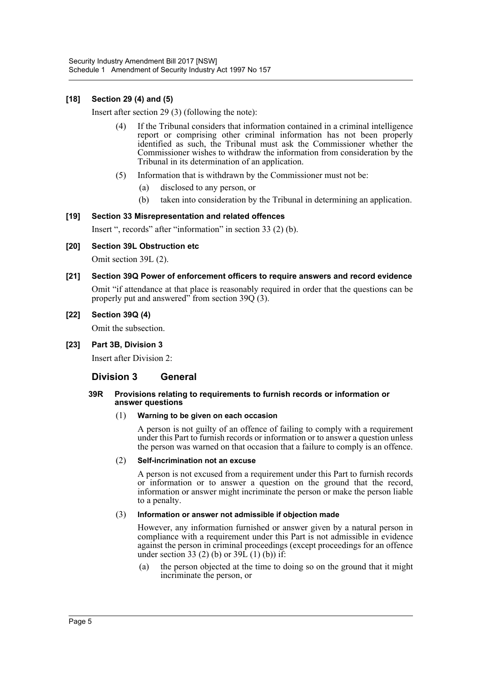# **[18] Section 29 (4) and (5)**

Insert after section 29 (3) (following the note):

- (4) If the Tribunal considers that information contained in a criminal intelligence report or comprising other criminal information has not been properly identified as such, the Tribunal must ask the Commissioner whether the Commissioner wishes to withdraw the information from consideration by the Tribunal in its determination of an application.
- (5) Information that is withdrawn by the Commissioner must not be:
	- (a) disclosed to any person, or
	- (b) taken into consideration by the Tribunal in determining an application.

# **[19] Section 33 Misrepresentation and related offences**

Insert ", records" after "information" in section 33 (2) (b).

**[20] Section 39L Obstruction etc**

Omit section 39L (2).

**[21] Section 39Q Power of enforcement officers to require answers and record evidence** Omit "if attendance at that place is reasonably required in order that the questions can be properly put and answered" from section  $39Q(3)$ .

#### **[22] Section 39Q (4)**

Omit the subsection.

#### **[23] Part 3B, Division 3**

Insert after Division 2:

# **Division 3 General**

#### **39R Provisions relating to requirements to furnish records or information or answer questions**

#### (1) **Warning to be given on each occasion**

A person is not guilty of an offence of failing to comply with a requirement under this Part to furnish records or information or to answer a question unless the person was warned on that occasion that a failure to comply is an offence.

#### (2) **Self-incrimination not an excuse**

A person is not excused from a requirement under this Part to furnish records or information or to answer a question on the ground that the record, information or answer might incriminate the person or make the person liable to a penalty.

#### (3) **Information or answer not admissible if objection made**

However, any information furnished or answer given by a natural person in compliance with a requirement under this Part is not admissible in evidence against the person in criminal proceedings (except proceedings for an offence under section 33 (2) (b) or  $39\hat{L}$  (1) (b)) if:

(a) the person objected at the time to doing so on the ground that it might incriminate the person, or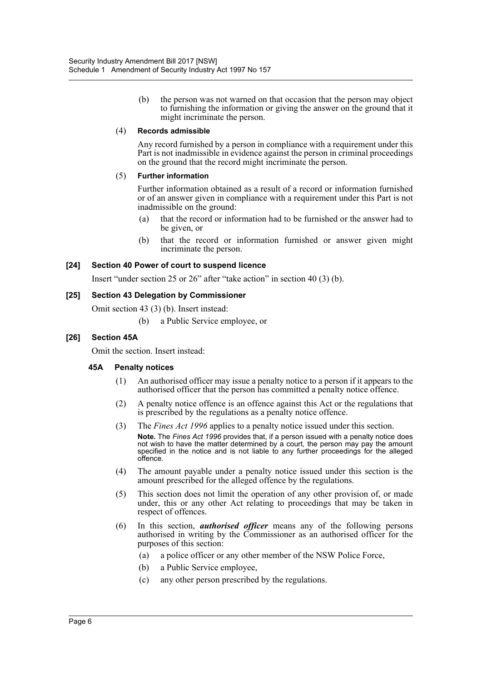(b) the person was not warned on that occasion that the person may object to furnishing the information or giving the answer on the ground that it might incriminate the person.

#### (4) **Records admissible**

Any record furnished by a person in compliance with a requirement under this Part is not inadmissible in evidence against the person in criminal proceedings on the ground that the record might incriminate the person.

#### (5) **Further information**

Further information obtained as a result of a record or information furnished or of an answer given in compliance with a requirement under this Part is not inadmissible on the ground:

- (a) that the record or information had to be furnished or the answer had to be given, or
- (b) that the record or information furnished or answer given might incriminate the person.

# **[24] Section 40 Power of court to suspend licence**

Insert "under section 25 or 26" after "take action" in section 40 (3) (b).

# **[25] Section 43 Delegation by Commissioner**

Omit section 43 (3) (b). Insert instead:

(b) a Public Service employee, or

# **[26] Section 45A**

Omit the section. Insert instead:

#### **45A Penalty notices**

- (1) An authorised officer may issue a penalty notice to a person if it appears to the authorised officer that the person has committed a penalty notice offence.
- (2) A penalty notice offence is an offence against this Act or the regulations that is prescribed by the regulations as a penalty notice offence.
- (3) The *Fines Act 1996* applies to a penalty notice issued under this section. **Note.** The *Fines Act 1996* provides that, if a person issued with a penalty notice does not wish to have the matter determined by a court, the person may pay the amount specified in the notice and is not liable to any further proceedings for the alleged offence.
- (4) The amount payable under a penalty notice issued under this section is the amount prescribed for the alleged offence by the regulations.
- (5) This section does not limit the operation of any other provision of, or made under, this or any other Act relating to proceedings that may be taken in respect of offences.
- (6) In this section, *authorised officer* means any of the following persons authorised in writing by the Commissioner as an authorised officer for the purposes of this section:
	- (a) a police officer or any other member of the NSW Police Force,
	- (b) a Public Service employee,
	- (c) any other person prescribed by the regulations.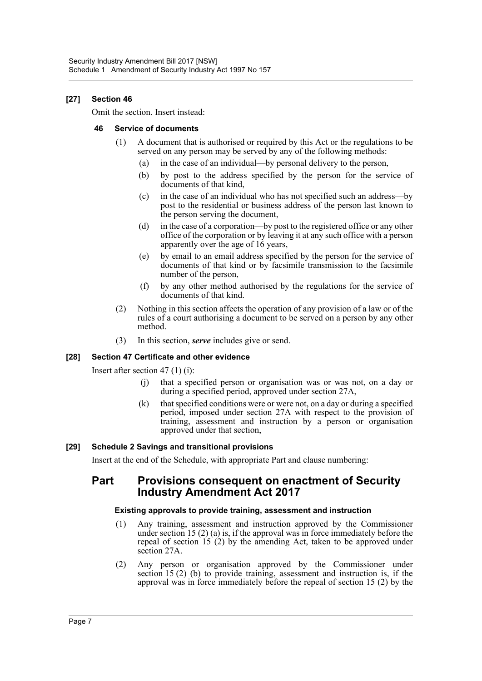# **[27] Section 46**

Omit the section. Insert instead:

# **46 Service of documents**

- (1) A document that is authorised or required by this Act or the regulations to be served on any person may be served by any of the following methods:
	- (a) in the case of an individual—by personal delivery to the person,
	- (b) by post to the address specified by the person for the service of documents of that kind,
	- (c) in the case of an individual who has not specified such an address—by post to the residential or business address of the person last known to the person serving the document,
	- (d) in the case of a corporation—by post to the registered office or any other office of the corporation or by leaving it at any such office with a person apparently over the age of  $16$  years.
	- (e) by email to an email address specified by the person for the service of documents of that kind or by facsimile transmission to the facsimile number of the person,
	- (f) by any other method authorised by the regulations for the service of documents of that kind.
- (2) Nothing in this section affects the operation of any provision of a law or of the rules of a court authorising a document to be served on a person by any other method.
- (3) In this section, *serve* includes give or send.

# **[28] Section 47 Certificate and other evidence**

Insert after section 47 (1) (i):

- (j) that a specified person or organisation was or was not, on a day or during a specified period, approved under section 27A,
- (k) that specified conditions were or were not, on a day or during a specified period, imposed under section 27A with respect to the provision of training, assessment and instruction by a person or organisation approved under that section,

# **[29] Schedule 2 Savings and transitional provisions**

Insert at the end of the Schedule, with appropriate Part and clause numbering:

# **Part Provisions consequent on enactment of Security Industry Amendment Act 2017**

#### **Existing approvals to provide training, assessment and instruction**

- (1) Any training, assessment and instruction approved by the Commissioner under section 15 (2) (a) is, if the approval was in force immediately before the repeal of section 15 (2) by the amending Act, taken to be approved under section 27A.
- (2) Any person or organisation approved by the Commissioner under section 15 (2) (b) to provide training, assessment and instruction is, if the approval was in force immediately before the repeal of section 15 (2) by the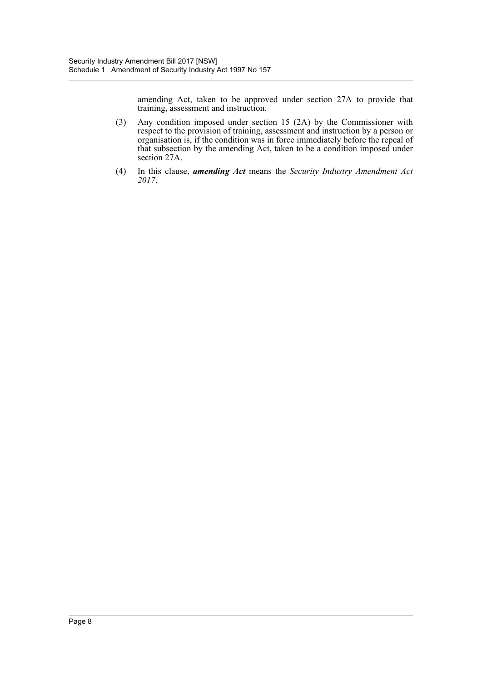amending Act, taken to be approved under section 27A to provide that training, assessment and instruction.

- (3) Any condition imposed under section 15 (2A) by the Commissioner with respect to the provision of training, assessment and instruction by a person or organisation is, if the condition was in force immediately before the repeal of that subsection by the amending Act, taken to be a condition imposed under section 27A.
- (4) In this clause, *amending Act* means the *Security Industry Amendment Act 2017*.